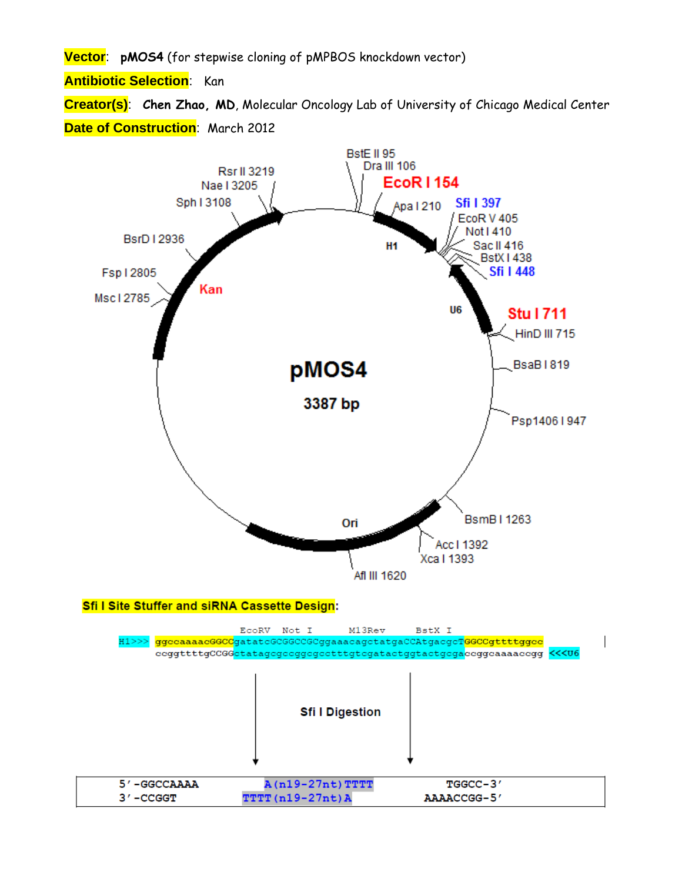**Vector**: **pMOS4** (for stepwise cloning of pMPBOS knockdown vector)

**Antibiotic Selection**: Kan

**Creator(s)**: **Chen Zhao, MD**, Molecular Oncology Lab of University of Chicago Medical Center **Date of Construction**: March 2012

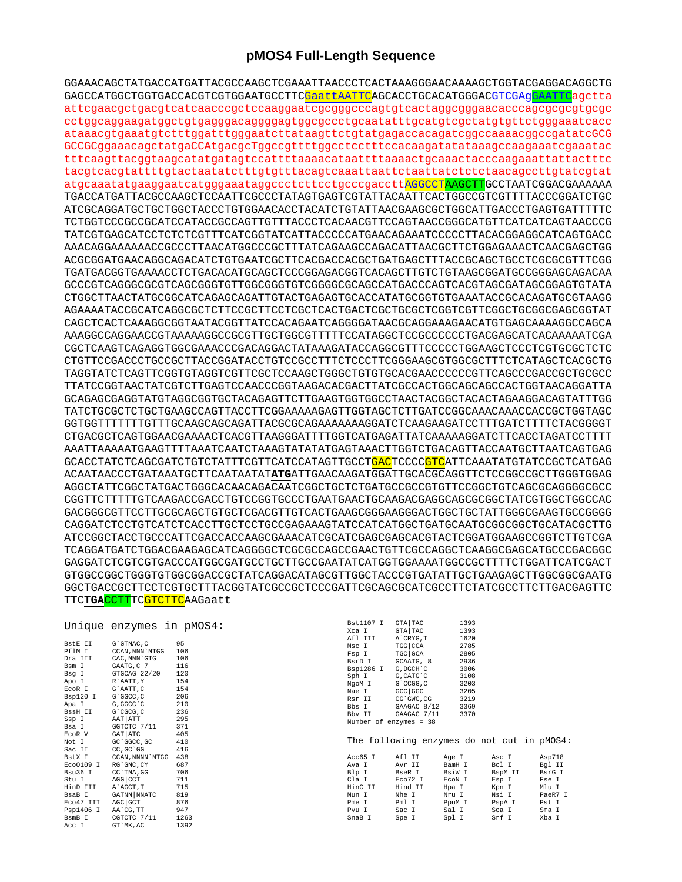## pMOS4 Full-Length Sequence

GGAAACAGCTATGACCATGATTACGCCAAGCTCGAAATTAACCCTCACTAAAGGGAACAAAAGCTGGTACGAGGACAGGCTG GAGCCATGGCTGGTGACCACGTCGTGGAATGCCTTC<mark>GaattAATTC</mark>AGCACCTGCACATGGGACGTCGAgGAATTCagctta attcgaacgctgacgtcatcaacccgctccaaggaatcgcgggcccagtgtcactaggcgggaacacccagcgcgcgtgcgc cctggcaggaagatggctgtgagggacaggggagtggcgccctgcaatatttgcatgtcgctatgtgttctgggaaatcacc ataaacgtgaaatgtctttggatttgggaatcttataagttctgtatgagaccacagatcggccaaaacggccgatatcGCG GCCGCggaaacagctatgaCCAtgacgcTggccgttttggcctcctttccacaagatatataaagccaagaaatcgaaatac tttcaagttacggtaagcatatgatagtccattttaaaacataattttaaaactgcaaactacccaagaaattattactttc atgcaaatatgaaggaatcatgggaaataggccctcttcctgcccgaccttAGGCCTAAGCTTGCCTAATCGGACGAAAAAA TGACCATGATTACGCCAAGCTCCAATTCGCCCTATAGTGAGTCGTATTACAATTCACTGGCCGTCGTTTTACCCGGATCTGC ATCGCAGGATGCTGCTGCTACCCTGTGGAACACCTACATCTGTATTAACGAAGCGCTGGCATTGACCCTGAGTGATTTTTC TCTGGTCCCGCCGCATCCATACCGCCAGTTGTTTACCCTCACAACGTTCCAGTAACCGGCATGTTCATCATCAGTAACCCG TATCGTGAGCATCCTCTCTCTTTCATCGGTATCATTACCCCCATGAACAGAAATCCCCCTTACACGGAGGCATCAGTGACC AAACAGGAAAAAAACCGCCTTAACATGGCCCTTTATCAGAAAGCAAACATTAACGCTTCTGGAGAAAACTCAAGGAGCTGG ACGCGGATGAACAGCATCTETAACEATCTETAACAGCATCATCATCATCAGCAACATCATCAGCAACATCTETAACAGCATCTETAACAGCAACATCTET TGATGACGGTGAAAACCTCTGACACATGCAGCTCCCGGAGACGGTCACAGCTTGTCTGTAAGCGGATGCCGGAGCAGACAA GCCCGTCAGGGCGCGTCAGCGGGTGTTGGCGGGTGTCGGGGCGCAGCCATGACCCAGTCACGTAGCGATAGCGGAGTGTATA CTGGCTTAACTATGCGGCATCAGAGCAGATTGTACTGAGAGTGCACCATATGCGGTGTGAAATACCGCACAGATGCGTAAGG AGAAAATACCGCATCAGGCGCTCTTCCGCTTCCTCGCTCACTGACTCGCTGCGCTCGGTCGTTCGGCTGCGGCGAGCGGTAT CAGCTCACTCAAAGGCGGTAATACGGTTATCCACAGAATCAGGGGATAACGCAGGAAAGAACATGTGAGCAAAAGGCCAGCA AAAGGCCAGGAACCGTAAAAAGGCCGCGTTGCTGGCGTTTTTCCATAGGCTCCGCCCCCCTGACGAGCATCACAAAAATCGA CGCTCAAGTCAGAGGTGGCGAAACCCGACAGGACTATAAAGATACCAGGCGTTTCCCCCTGGAAGCTCCCTCGTGCGCTCTC CTGTTCCGACCCTGCCGCTTACCGGATACCTGTCCGCCTTTCTCCCTTCGGGAAGCGTGGCGCTTTCTCATAGCTCACGCTG TAGGTATCTCAGTTCGGTGTAGGTCGTTCGCTCCAAGCTGGGCTGTGTGCACGAACCCCCCGTTCAGCCCGACCGCTGCGCC TTATCCGGTAACTATCGTCTTGAGTCCAACCCGGTAAGACACGACTTATCGCCACTGGCAGCAGCCACTGGTAACAGGATTA GCAGAGCGAGGTATGTAGGCGGTGCTACAGAGTTCTTGAAGTGGTGGCCTAACTACGGCTACACTAGAAGGACAGTATTTGG GGTGGTTTTTTTGTTTGCAAGCAGCAGATTACGCGCAGAAAAAAAGGATCTCAAGAAGATCCTTTGATCTTTTCTACGGGGT CTGACGCTCAGTGGAACGAAAACTCACGTTAAGGGATTTTGGTCATGAGATTATCAAAAAGGATCTTCACCTAGATCCTTTT AAATTAAAAATGAAGTTTTAAATCAATCTAAAGTATATATGAGTAAACTTGGTCTGACAGTTACCAATGCTTAATCAGTGAG GCACCTATCTCAGCGATCTGTCTATTTCGTTCATCCATAGTTGCCT<mark>GAC</mark>TCCCC<mark>GTC</mark>ATTCAAATATGTATCCGCTCATGAG ACAATAACCCTGATAAATGCTTCAATAATATATATGATTGAACAAGATGGATTGCACGCAGGTTCTCCGGCCGCTTGGGTGGAG AGGCTATTCGGCTATGACTGGGCACAACAGACAATCGGCTGCTCTGATGCCGCCGTGTTCCGGCTGTCAGCGCAGGGGCCC GACGGGCGTTCCTTGCGCAGCTGTGCTCGACGTTGTCACTGAAGCGGGAAGGGACTGGCTGCTATTGGGCGAAGTGCCGGGG CAGGATCTCCTGTCATCTCACCTTGCTCCTGCCGAGAAAGTATCCATCATGGCTGATGCGATGCGGCGGCTGCATACGCTTG TCAGGATGATCTGGACGAAGAGCATCAGGGGCTCGCGCCAGCCGAACTGTTCGCCAGGCTCAAGGCGAGCATGCCCGACGGC GAGGATCTCGTCGTGACCCATGGCGATGCCTGCTTGCCGAATATCATGGTGGAAAATGGCCGCTTTTCTGGATTCATCGACT GTGGCCGGCTGGGTGTGGCGGACCGCTATCAGGACATAGCGTTGGCTACCCGTGATATTGCTGAAGAGCTTGGCGGCGAATG GGCTGACCGCTTCCTCGTGCTTTACGGTATCGCCGCTCCCGATTCGCAGCGCATCGCCTTCTATCGCCTTCTTGACGAGTTC TTCTGACCTTTCGTCTTCAAGaatt

| BstE II        | G`GTNAC, C      | 95  |
|----------------|-----------------|-----|
| PflM I         | CCAN, NNN`NTGG  | 106 |
| Dra III        | CAC, NNN `GTG   | 106 |
| Bsm I          | GAATG, C 7      | 116 |
| Bsg I          | GTGCAG 22/20    | 120 |
| Apo I          | R`AATT, Y       | 154 |
| EcoR I         | G`AATT, C       | 154 |
| Bsp120 I       | G`GGCC, C       | 206 |
| Apa I          | G, GGCC `C      | 210 |
| BssH II        | G`CGCG, C       | 236 |
| Ssp I          | AAT ATT         | 295 |
| Bsa I          | GGTCTC 7/11     | 371 |
| ECOR V         | GAT ATC         | 405 |
| Not I          | GC 'GGCC, GC    | 410 |
| Sac II         | CC, GC 'GG      | 416 |
| BstX I         | CCAN, NNNN`NTGG | 438 |
| Eco0109 I      | RG`GNC, CY      | 687 |
| Bsu36 I        | CC`TNA, GG      | 706 |
| Stu I          | AGG   CCT       | 711 |
| HinD III       | A`AGCT, T       | 715 |
| BsaB I         | GATNN NNATC     | 819 |
| Eco47 III      | AGC GCT         | 876 |
| Psp1406 I      | AA`CG, TT       | 947 |
| BsmB I         | CGTCTC 7/11     | 126 |
| $\lambda$ aa T | $CP$ MV $AO$    | 120 |

| 3st1107 I | <b>GTA TAC</b>         | 1393 |
|-----------|------------------------|------|
| Kca I     | <b>GTA TAC</b>         | 1393 |
| Afl III   | A`CRYG, T              | 1620 |
| isc I     | TGG   CCA              | 2785 |
| 'sp I     | TGC GCA                | 2805 |
| BsrD I    | GCAATG, 8              | 2936 |
| 3sp1286 I | G, DGCH C              | 3006 |
| Sph I     | G, CATG C              | 3108 |
| I Mopl    | G`CCGG, C              | 3203 |
| Wae I     | GCC GGC                | 3205 |
| lsr II    | CG`GWC, CG             | 3219 |
| Bbs I     | GAAGAC 8/12            | 3369 |
| Bby II    | GAAGAC 7/11            | 3370 |
|           | Number of enzymes = 38 |      |
|           |                        |      |

The following enzymes do not cut in pMOS4:

| Hind II<br>HinC II<br>Mlu I<br>Kpn I<br>Hpa I<br>Nsi I<br>Nhe I<br>Nru I<br>Mun I<br>Pml I<br>PpuM I<br>PspA I<br>Pst I<br>Pme I<br>Sal I<br>Sca I<br>Sac I<br>Sma I<br>Pvu I | Acc65 I<br>Ava I<br>Blp I<br>Cla I | Afl II<br>Avr II<br>BseR I<br>Eco72 I | Age I<br>BamH I<br>BsiW I<br>ECON I | Asc I<br>Bcl I<br>BspM II<br>Esp I | Asp718<br>Bgl II<br>BsrG I<br>Fse I<br>PaeR7 I |
|-------------------------------------------------------------------------------------------------------------------------------------------------------------------------------|------------------------------------|---------------------------------------|-------------------------------------|------------------------------------|------------------------------------------------|
| Spl I<br>Srf I<br>Xba I<br>SnaB I<br>Spe I                                                                                                                                    |                                    |                                       |                                     |                                    |                                                |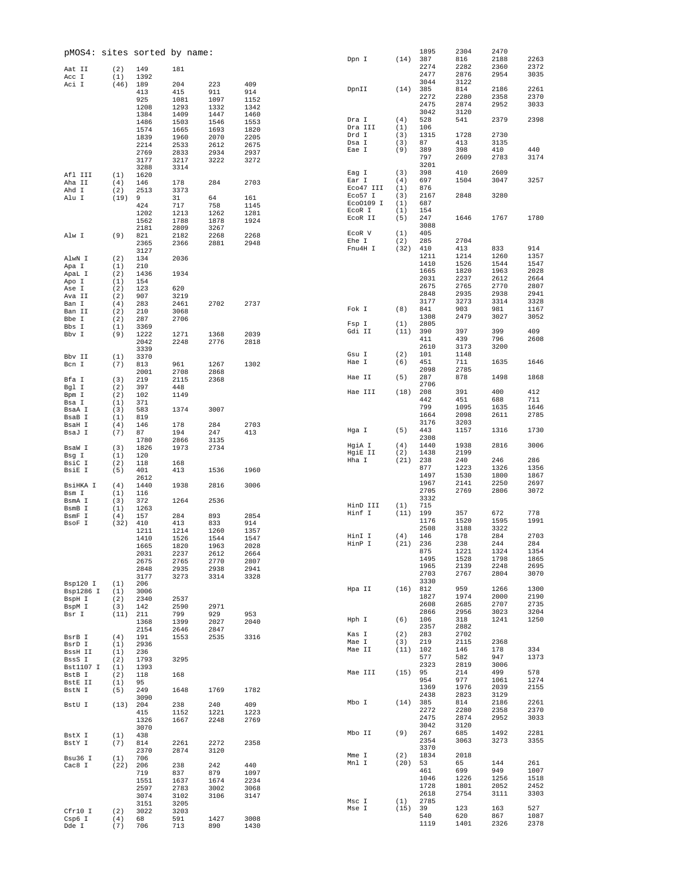|                     |             | pMOS4: sites sorted by name: |              |              |              | Dpn I             | (14)       | 1895<br>387  | 2304<br>816  | 2470<br>2188 | 2263         |
|---------------------|-------------|------------------------------|--------------|--------------|--------------|-------------------|------------|--------------|--------------|--------------|--------------|
| Aat II              | (2)         | 149                          | 181          |              |              |                   |            | 2274         | 2282         | 2360         | 2372         |
| Acc I               | (1)         | 1392                         |              |              |              |                   |            | 2477         | 2876         | 2954         | 3035         |
| Aci I               | (46)        | 189                          | 204          | 223          | 409          |                   |            | 3044         | 3122         |              |              |
|                     |             | 413                          | 415          | 911          | 914          | DpnII             | (14)       | 385          | 814          | 2186         | 2261         |
|                     |             | 925                          | 1081         | 1097         | 1152         |                   |            | 2272<br>2475 | 2280<br>2874 | 2358<br>2952 | 2370<br>3033 |
|                     |             | 1208                         | 1293         | 1332         | 1342         |                   |            | 3042         | 3120         |              |              |
|                     |             | 1384<br>1486                 | 1409<br>1503 | 1447<br>1546 | 1460<br>1553 | Dra I             | (4)        | 528          | 541          | 2379         | 2398         |
|                     |             | 1574                         | 1665         | 1693         | 1820         | Dra III           | (1)        | 106          |              |              |              |
|                     |             | 1839                         | 1960         | 2070         | 2205         | Drd I             | (3)        | 1315         | 1728         | 2730         |              |
|                     |             | 2214                         | 2533         | 2612         | 2675         | Dsa I             | (3)        | 87           | 413          | 3135         |              |
|                     |             | 2769                         | 2833         | 2934         | 2937         | Eae I             | (9)        | 389          | 398          | 410          | 440          |
|                     |             | 3177                         | 3217         | 3222         | 3272         |                   |            | 797<br>3201  | 2609         | 2783         | 3174         |
|                     |             | 3288                         | 3314         |              |              | Eag I             | (3)        | 398          | 410          | 2609         |              |
| Afl III<br>Aha II   | (1)<br>(4)  | 1620<br>146                  | 178          | 284          | 2703         | Ear I             | (4)        | 697          | 1504         | 3047         | 3257         |
| Ahd I               | (2)         | 2513                         | 3373         |              |              | Eco47 III         | (1)        | 876          |              |              |              |
| Alu I               | (19)        | 9                            | 31           | 64           | 161          | Eco57 I           | (3)        | 2167         | 2848         | 3280         |              |
|                     |             | 424                          | 717          | 758          | 1145         | Eco0109 I         | (1)        | 687          |              |              |              |
|                     |             | 1202                         | 1213         | 1262         | 1281         | ECOR I<br>ECOR II | (1)<br>(5) | 154<br>247   | 1646         | 1767         | 1780         |
|                     |             | 1562                         | 1788         | 1878         | 1924         |                   |            | 3088         |              |              |              |
| Alw I               | (9)         | 2181<br>821                  | 2809<br>2182 | 3267<br>2268 | 2268         | ECOR V            | (1)        | 405          |              |              |              |
|                     |             | 2365                         | 2366         | 2881         | 2948         | Ehe I             | (2)        | 285          | 2704         |              |              |
|                     |             | 3127                         |              |              |              | Fnu4H I           | (32)       | 410          | 413          | 833          | 914          |
| AlwN I              | (2)         | 134                          | 2036         |              |              |                   |            | 1211         | 1214         | 1260         | 1357         |
| Apa I               | (1)         | 210                          |              |              |              |                   |            | 1410         | 1526         | 1544         | 1547         |
| ApaL I              | (2)         | 1436                         | 1934         |              |              |                   |            | 1665<br>2031 | 1820<br>2237 | 1963<br>2612 | 2028<br>2664 |
| Apo I               | (1)         | 154                          |              |              |              |                   |            | 2675         | 2765         | 2770         | 2807         |
| Ase I<br>Ava II     | (2)<br>(2)  | 123<br>907                   | 620<br>3219  |              |              |                   |            | 2848         | 2935         | 2938         | 2941         |
| Ban I               | (4)         | 283                          | 2461         | 2702         | 2737         |                   |            | 3177         | 3273         | 3314         | 3328         |
| Ban II              | (2)         | 210                          | 3068         |              |              | Fok I             | (8)        | 841          | 903          | 981          | 1167         |
| Bbe I               | (2)         | 287                          | 2706         |              |              |                   |            | 1308         | 2479         | 3027         | 3052         |
| Bbs I               | (1)         | 3369                         |              |              |              | Fsp I             | (1)        | 2805         |              |              |              |
| Bbv I               | (9)         | 1222                         | 1271         | 1368         | 2039         | Gdi II            | (11)       | 390<br>411   | 397<br>439   | 399<br>796   | 409<br>2608  |
|                     |             | 2042                         | 2248         | 2776         | 2818         |                   |            | 2610         | 3173         | 3200         |              |
| Bbv II              | (1)         | 3339<br>3370                 |              |              |              | Gsu I             | (2)        | 101          | 1148         |              |              |
| Bcn I               | (7)         | 813                          | 961          | 1267         | 1302         | Hae I             | (6)        | 451          | 711          | 1635         | 1646         |
|                     |             | 2001                         | 2708         | 2868         |              |                   |            | 2098         | 2785         |              |              |
| Bfa I               | (3)         | 219                          | 2115         | 2368         |              | Hae II            | (5)        | 287          | 878          | 1498         | 1868         |
| Bgl I               | (2)         | 397                          | 448          |              |              | Hae III           | (18)       | 2706<br>208  | 391          | 400          | 412          |
| Bpm I               | (2)         | 102                          | 1149         |              |              |                   |            | 442          | 451          | 688          | 711          |
| Bsa I               | (1)<br>(3)  | 371<br>583                   | 1374         | 3007         |              |                   |            | 799          | 1095         | 1635         | 1646         |
| BsaA I<br>BsaB I    | (1)         | 819                          |              |              |              |                   |            | 1664         | 2098         | 2611         | 2785         |
| BsaH I              | (4)         | 146                          | 178          | 284          | 2703         |                   |            | 3176         | 3203         |              |              |
| BsaJ I              | (7)         | 87                           | 194          | 247          | 413          | Hga I             | (5)        | 443          | 1157         | 1316         | 1730         |
|                     |             | 1780                         | 2866         | 3135         |              |                   |            | 2308         |              |              | 3006         |
| BsaW I              | (3)         | 1826                         | 1973         | 2734         |              | HgiA I<br>HgiE II | (4)<br>(2) | 1440<br>1438 | 1938<br>2199 | 2816         |              |
| Bsg I               | (1)         | 120                          |              |              |              | Hha I             | (21)       | 238          | 240          | 246          | 286          |
| BsiC I<br>BsiE I    | (2)<br>(5)  | 118<br>401                   | 168<br>413   | 1536         | 1960         |                   |            | 877          | 1223         | 1326         | 1356         |
|                     |             | 2612                         |              |              |              |                   |            | 1497         | 1530         | 1800         | 1867         |
| BsiHKA I            | (4)         | 1440                         | 1938         | 2816         | 3006         |                   |            | 1967         | 2141         | 2250         | 2697         |
| Bsm I               | (1)         | 116                          |              |              |              |                   |            | 2705         | 2769         | 2806         | 3072         |
| BsmA I              | (3)         | 372                          | 1264         | 2536         |              | HinD III          | (1)        | 3332<br>715  |              |              |              |
| BsmB I              | (1)         | 1263                         |              |              |              | Hinf I            | (11)       | 199          | 357          | 672          | 778          |
| BsmF I<br>BsoF I    | (4)<br>(32) | 157<br>410                   | 284<br>413   | 893<br>833   | 2854<br>914  |                   |            | 1176         | 1520         | 1595         | 1991         |
|                     |             | 1211                         | 1214         | 1260         | 1357         |                   |            | 2508         | 3188         | 3322         |              |
|                     |             | 1410                         | 1526         | 1544         | 1547         | HinI I            | (4)        | 146          | 178          | 284          | 2703         |
|                     |             | 1665                         | 1820         | 1963         | 2028         | HinP I            | (21)       | 236          | 238          | 244          | 284          |
|                     |             | 2031                         | 2237         | 2612         | 2664         |                   |            | 875<br>1495  | 1221<br>1528 | 1324<br>1798 | 1354<br>1865 |
|                     |             | 2675                         | 2765         | 2770         | 2807         |                   |            | 1965         | 2139         | 2248         | 2695         |
|                     |             | 2848<br>3177                 | 2935<br>3273 | 2938<br>3314 | 2941<br>3328 |                   |            | 2703         | 2767         | 2804         | 3070         |
| Bsp120 I            | (1)         | 206                          |              |              |              |                   |            | 3330         |              |              |              |
| Bsp1286 I           | (1)         | 3006                         |              |              |              | Hpa II            | (16)       | 812          | 959          | 1266         | 1300         |
| BspH I              | (2)         | 2340                         | 2537         |              |              |                   |            | 1827         | 1974         | 2000         | 2190         |
| BspM I              | (3)         | 142                          | 2590         | 2971         |              |                   |            | 2608<br>2866 | 2685<br>2956 | 2707<br>3023 | 2735<br>3204 |
| Bsr I               | (11)        | 211<br>1368                  | 799<br>1399  | 929<br>2027  | 953<br>2040  | Hph I             | (6)        | 106          | 318          | 1241         | 1250         |
|                     |             | 2154                         | 2646         | 2847         |              |                   |            | 2357         | 2882         |              |              |
| BsrB I              | (4)         | 191                          | 1553         | 2535         | 3316         | Kas I             | (2)        | 283          | 2702         |              |              |
| BsrD I              | (1)         | 2936                         |              |              |              | Mae I             | (3)        | 219          | 2115         | 2368         |              |
| BssH II             | (1)         | 236                          |              |              |              | Mae II            | (11)       | 102          | 146          | 178          | 334          |
| BssS I              | (2)         | 1793                         | 3295         |              |              |                   |            | 577<br>2323  | 582<br>2819  | 947<br>3006  | 1373         |
| Bst1107 I<br>BstB I | (1)         | 1393                         |              |              |              | Mae III           | (15)       | 95           | 214          | 499          | 578          |
|                     | (2)<br>(1)  | 118<br>95                    | 168          |              |              |                   |            | 954          | 977          | 1061         | 1274         |
| BstE II<br>BstN I   | (5)         | 249                          | 1648         | 1769         | 1782         |                   |            | 1369         | 1976         | 2039         | 2155         |
|                     |             | 3090                         |              |              |              |                   |            | 2438         | 2823         | 3129         |              |
| BstU I              | (13)        | 204                          | 238          | 240          | 409          | Mbo I             | (14)       | 385          | 814          | 2186         | 2261         |
|                     |             | 415                          | 1152         | 1221         | 1223         |                   |            | 2272<br>2475 | 2280         | 2358         | 2370<br>3033 |
|                     |             | 1326                         | 1667         | 2248         | 2769         |                   |            | 3042         | 2874<br>3120 | 2952         |              |
|                     |             | 3070                         |              |              |              | Mbo II            | (9)        | 267          | 685          | 1492         | 2281         |
| BstX I<br>BstY I    | (1)<br>(7)  | 438<br>814                   | 2261         | 2272         | 2358         |                   |            | 2354         | 3063         | 3273         | 3355         |
|                     |             | 2370                         | 2874         | 3120         |              |                   |            | 3370         |              |              |              |
| Bsu36 I             | (1)         | 706                          |              |              |              | Mme I             | (2)        | 1834         | 2018         |              |              |
| Cac8 I              | (22)        | 206                          | 238          | 242          | 440          | Mnl I             | (20)       | 53           | 65           | 144          | 261          |
|                     |             | 719                          | 837          | 879          | 1097         |                   |            | 461<br>1046  | 699<br>1226  | 949<br>1256  | 1007<br>1518 |
|                     |             | 1551                         | 1637         | 1674         | 2234         |                   |            | 1728         | 1801         | 2052         | 2452         |
|                     |             | 2597<br>3074                 | 2783<br>3102 | 3002<br>3106 | 3068<br>3147 |                   |            | 2618         | 2754         | 3111         | 3303         |
|                     |             | 3151                         | 3205         |              |              | Msc I             | (1)        | 2785         |              |              |              |
| Cfr10 I             | (2)         | 3022                         | 3203         |              |              | Mse I             | (15)       | 39           | 123          | 163          | 527          |
| Csp6 I              | (4)         | 68                           | 591          | 1427         | 3008         |                   |            | 540          | 620          | 867          | 1087         |
| Dde I               | (7)         | 706                          | 713          | 890          | 1430         |                   |            | 1119         | 1401         | 2326         | 2378         |